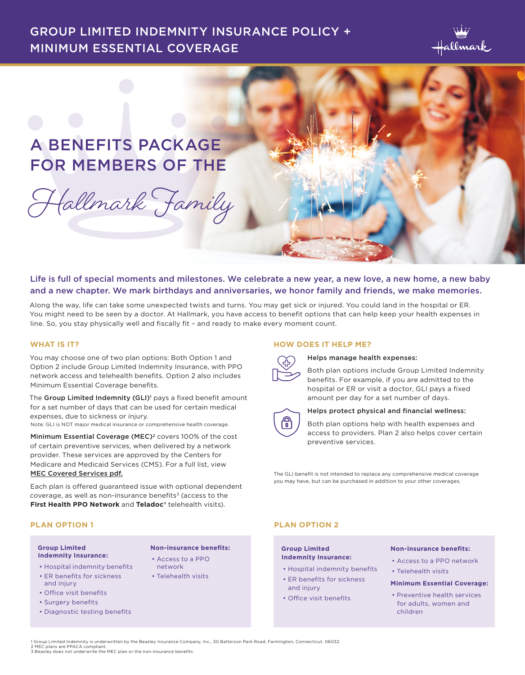### GROUP LIMITED INDEMNITY INSURANCE POLICY + MINIMUM ESSENTIAL COVERAGE



## A BENEFITS PACKAGE FOR MEMBERS OF THE

**Hallmark Family**

# Life is full of special moments and milestones. We celebrate a new year, a new love, a new home, a new baby

and a new chapter. We mark birthdays and anniversaries, we honor family and friends, we make memories. Along the way, life can take some unexpected twists and turns. You may get sick or injured. You could land in the hospital or ER.

You might need to be seen by a doctor. At Hallmark, you have access to benefit options that can help keep your health expenses in line. So, you stay physically well and fiscally fit – and ready to make every moment count.

#### **WHAT IS IT?**

You may choose one of two plan options: Both Option 1 and Option 2 include Group Limited Indemnity Insurance, with PPO network access and telehealth benefits. Option 2 also includes Minimum Essential Coverage benefits.

The Group Limited Indemnity (GLI)<sup>1</sup> pays a fixed benefit amount for a set number of days that can be used for certain medical expenses, due to sickness or injury.

Note: GLI is NOT major medical insurance or comprehensive health coverage.

Minimum Essential Coverage (MEC)<sup>2</sup> covers 100% of the cost of certain preventive services, when delivered by a network provider. These services are approved by the Centers for Medicare and Medicaid Services (CMS). For a full list, view MEC Covered Services pdf.

Each plan is offered guaranteed issue with optional dependent coverage, as well as non-insurance benefits<sup>3</sup> (access to the **First Health PPO Network** and **Teladoc®** telehealth visits).

#### **PLAN OPTION 1**

#### **Group Limited Indemnity Insurance:**

- Hospital indemnity benefits
- ER benefits for sickness and injury
- Office visit benefits
- Surgery benefits
- Diagnostic testing benefits

#### **HOW DOES IT HELP ME?**



#### Helps manage health expenses:

Both plan options include Group Limited Indemnity benefits. For example, if you are admitted to the hospital or ER or visit a doctor, GLI pays a fixed amount per day for a set number of days.



#### Helps protect physical and financial wellness:

Both plan options help with health expenses and access to providers. Plan 2 also helps cover certain preventive services.

The GLI benefit is not intended to replace any comprehensive medical coverage you may have, but can be purchased in addition to your other coverages.

#### **PLAN OPTION 2**

#### **Group Limited Indemnity Insurance:**

- Hospital indemnity benefits
- ER benefits for sickness and injury
- Office visit benefits

#### **Non-insurance benefits:**

- Access to a PPO network
	- Telehealth visits

#### **Minimum Essential Coverage:**

• Preventive health services for adults, women and children

1 Group Limited Indemnity is underwritten by the Beazley Insurance Company, Inc., 30 Batterson Park Road, Farmington, Connecticut. 06032. 2 MEC plans are PPACA compliant. 3 Beazley does not underwrite the MEC plan or the non-insurance benefits.

**Non-insurance benefits:** • Access to a PPO network • Telehealth visits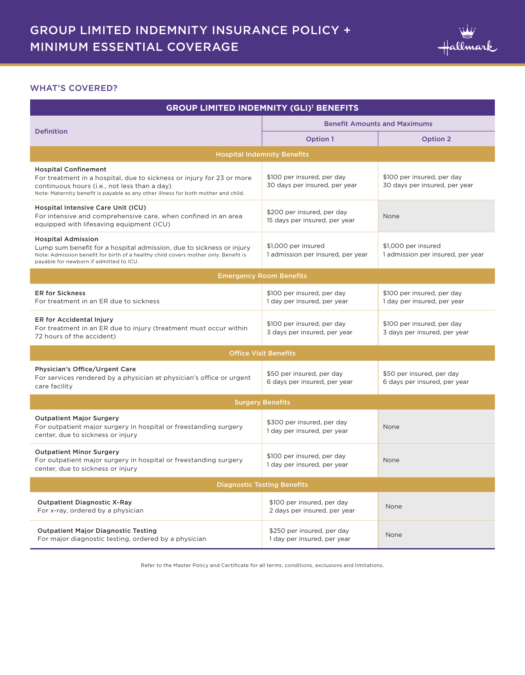

#### WHAT'S COVERED?

| <b>GROUP LIMITED INDEMNITY (GLI)<sup>1</sup> BENEFITS</b>                                                                                                                                                                                  |                                                             |                                                             |  |  |
|--------------------------------------------------------------------------------------------------------------------------------------------------------------------------------------------------------------------------------------------|-------------------------------------------------------------|-------------------------------------------------------------|--|--|
| <b>Definition</b>                                                                                                                                                                                                                          | <b>Benefit Amounts and Maximums</b>                         |                                                             |  |  |
|                                                                                                                                                                                                                                            | Option 1                                                    | Option 2                                                    |  |  |
|                                                                                                                                                                                                                                            | <b>Hospital Indemnity Benefits</b>                          |                                                             |  |  |
| <b>Hospital Confinement</b><br>For treatment in a hospital, due to sickness or injury for 23 or more<br>continuous hours (i.e., not less than a day)<br>Note: Maternity benefit is payable as any other illness for both mother and child. | \$100 per insured, per day<br>30 days per insured, per year | \$100 per insured, per day<br>30 days per insured, per year |  |  |
| Hospital Intensive Care Unit (ICU)<br>For intensive and comprehensive care, when confined in an area<br>equipped with lifesaving equipment (ICU)                                                                                           | \$200 per insured, per day<br>15 days per insured, per year | None                                                        |  |  |
| <b>Hospital Admission</b><br>Lump sum benefit for a hospital admission, due to sickness or injury<br>Note: Admission benefit for birth of a healthy child covers mother only. Benefit is<br>payable for newborn if admitted to ICU.        | \$1,000 per insured<br>1 admission per insured, per year    | \$1,000 per insured<br>1 admission per insured, per year    |  |  |
| <b>Emergency Room Benefits</b>                                                                                                                                                                                                             |                                                             |                                                             |  |  |
| <b>ER for Sickness</b><br>For treatment in an ER due to sickness                                                                                                                                                                           | \$100 per insured, per day<br>1 day per insured, per year   | \$100 per insured, per day<br>1 day per insured, per year   |  |  |
| ER for Accidental Injury<br>For treatment in an ER due to injury (treatment must occur within<br>72 hours of the accident)                                                                                                                 | \$100 per insured, per day<br>3 days per insured, per year  | \$100 per insured, per day<br>3 days per insured, per year  |  |  |
| <b>Office Visit Benefits</b>                                                                                                                                                                                                               |                                                             |                                                             |  |  |
| Physician's Office/Urgent Care<br>For services rendered by a physician at physician's office or urgent<br>care facility                                                                                                                    | \$50 per insured, per day<br>6 days per insured, per year   | \$50 per insured, per day<br>6 days per insured, per year   |  |  |
| <b>Surgery Benefits</b>                                                                                                                                                                                                                    |                                                             |                                                             |  |  |
| <b>Outpatient Major Surgery</b><br>For outpatient major surgery in hospital or freestanding surgery<br>center, due to sickness or injury                                                                                                   | \$300 per insured, per day<br>1 day per insured, per year   | None                                                        |  |  |
| <b>Outpatient Minor Surgery</b><br>For outpatient major surgery in hospital or freestanding surgery<br>center, due to sickness or injury                                                                                                   | \$100 per insured, per day<br>1 day per insured, per year   | None                                                        |  |  |
| <b>Diagnostic Testing Benefits</b>                                                                                                                                                                                                         |                                                             |                                                             |  |  |
| <b>Outpatient Diagnostic X-Ray</b><br>For x-ray, ordered by a physician                                                                                                                                                                    | \$100 per insured, per day<br>2 days per insured, per year  | None                                                        |  |  |
| <b>Outpatient Major Diagnostic Testing</b><br>For major diagnostic testing, ordered by a physician                                                                                                                                         | \$250 per insured, per day<br>1 day per insured, per year   | None                                                        |  |  |

Refer to the Master Policy and Certificate for all terms, conditions, exclusions and limitations.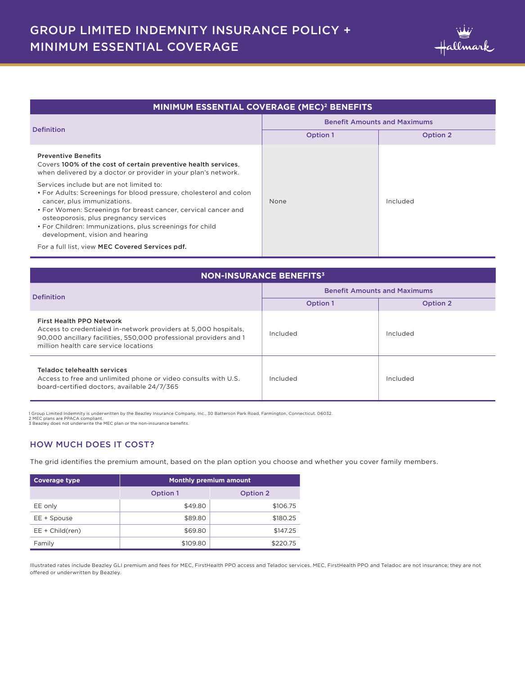| <b>MINIMUM ESSENTIAL COVERAGE (MEC)<sup>2</sup> BENEFITS</b> |          |  |  |
|--------------------------------------------------------------|----------|--|--|
| <b>Benefit Amounts and Maximums</b>                          |          |  |  |
| <b>Option 1</b>                                              | Option 2 |  |  |
| None                                                         | Included |  |  |
|                                                              |          |  |  |
|                                                              |          |  |  |

| <b>NON-INSURANCE BENEFITS<sup>3</sup></b>                                                                                                                                                                 |                                     |          |  |
|-----------------------------------------------------------------------------------------------------------------------------------------------------------------------------------------------------------|-------------------------------------|----------|--|
| <b>Definition</b>                                                                                                                                                                                         | <b>Benefit Amounts and Maximums</b> |          |  |
|                                                                                                                                                                                                           | Option 1                            | Option 2 |  |
| First Health PPO Network<br>Access to credentialed in-network providers at 5,000 hospitals,<br>90,000 ancillary facilities, 550,000 professional providers and 1<br>million health care service locations | Included                            | Included |  |
| Teladoc telehealth services<br>Access to free and unlimited phone or video consults with U.S.<br>board-certified doctors, available 24/7/365                                                              | Included                            | Included |  |

1 Group Limited Indemnity is underwritten by the Beazley Insurance Company, Inc., 30 Batterson Park Road, Farmington, Connecticut. 06032.<br>2 MEC plans are PPACA compliant.<br>3 Beazley does not underwrite the MEC plan or the n

#### HOW MUCH DOES IT COST?

The grid identifies the premium amount, based on the plan option you choose and whether you cover family members.

| <b>Coverage type</b> | <b>Monthly premium amount</b> |          |  |
|----------------------|-------------------------------|----------|--|
|                      | Option 1                      | Option 2 |  |
| EE only              | \$49.80                       | \$106.75 |  |
| EE + Spouse          | \$89.80                       | \$180.25 |  |
| $EE + Child (ren)$   | \$69.80                       | \$147.25 |  |
| Family               | \$109.80                      | \$220.75 |  |

Illustrated rates include Beazley GLI premium and fees for MEC, FirstHealth PPO access and Teladoc services. MEC, FirstHealth PPO and Teladoc are not insurance; they are not offered or underwritten by Beazley.